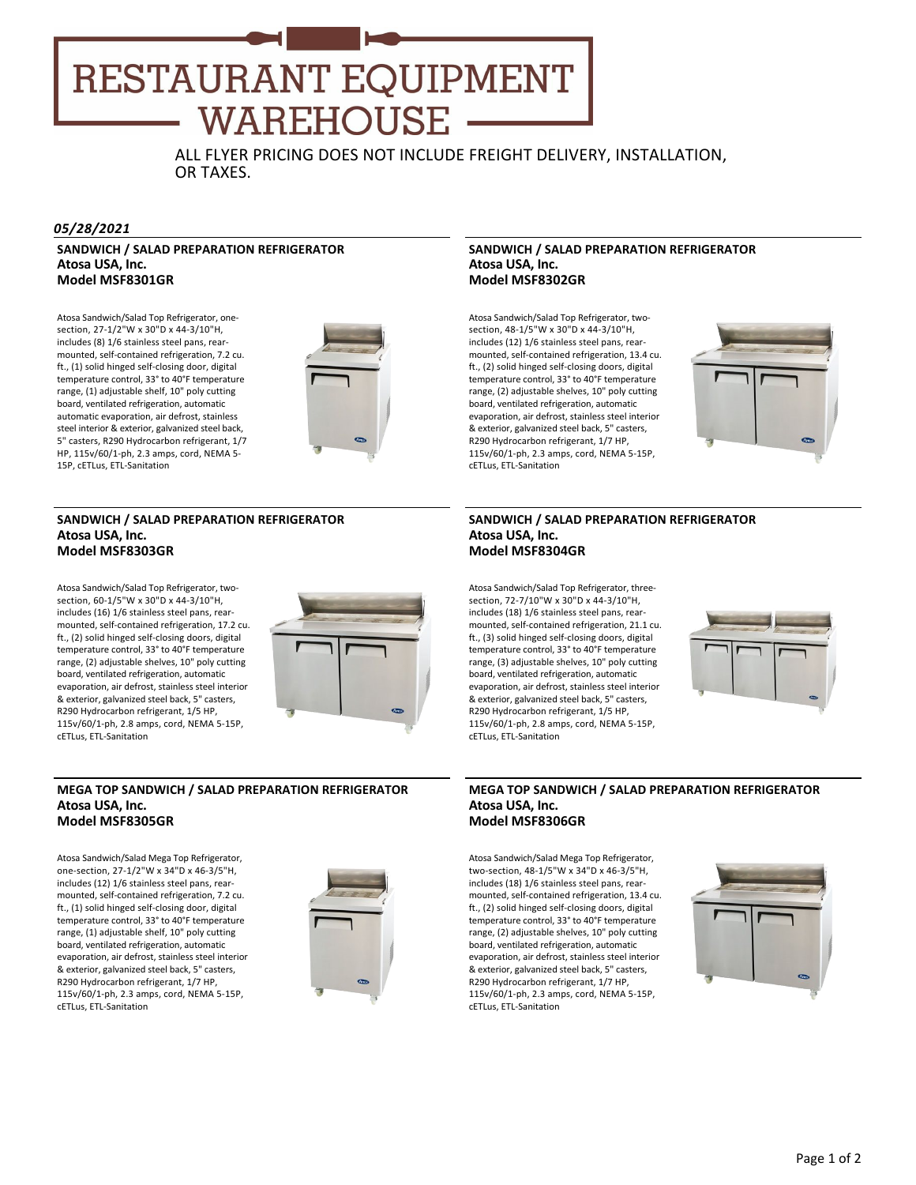# **RESTAURANT EQUIPMENT WAREHOUSE**

ALL FLYER PRICING DOES NOT INCLUDE FREIGHT DELIVERY, INSTALLATION, OR TAXES.

#### *05/28/2021*

# **SANDWICH / SALAD PREPARATION REFRIGERATOR Atosa USA, Inc. Model MSF8301GR**

Atosa Sandwich/Salad Top Refrigerator, one‐ section, 27‐1/2"W x 30"D x 44‐3/10"H, includes (8) 1/6 stainless steel pans, rear‐ mounted, self‐contained refrigeration, 7.2 cu. ft., (1) solid hinged self‐closing door, digital temperature control, 33° to 40°F temperature range, (1) adjustable shelf, 10" poly cutting board, ventilated refrigeration, automatic automatic evaporation, air defrost, stainless steel interior & exterior, galvanized steel back, 5" casters, R290 Hydrocarbon refrigerant, 1/7 HP, 115v/60/1‐ph, 2.3 amps, cord, NEMA 5‐ 15P, cETLus, ETL‐Sanitation



#### **SANDWICH / SALAD PREPARATION REFRIGERATOR Atosa USA, Inc. Model MSF8303GR**

Atosa Sandwich/Salad Top Refrigerator, two‐ section, 60‐1/5"W x 30"D x 44‐3/10"H, includes (16) 1/6 stainless steel pans, rear‐ mounted, self‐contained refrigeration, 17.2 cu. ft., (2) solid hinged self‐closing doors, digital temperature control, 33° to 40°F temperature range, (2) adjustable shelves, 10" poly cutting board, ventilated refrigeration, automatic evaporation, air defrost, stainless steel interior & exterior, galvanized steel back, 5" casters, R290 Hydrocarbon refrigerant, 1/5 HP, 115v/60/1‐ph, 2.8 amps, cord, NEMA 5‐15P, cETLus, ETL‐Sanitation



# **MEGA TOP SANDWICH / SALAD PREPARATION REFRIGERATOR Atosa USA, Inc. Model MSF8305GR**

Atosa Sandwich/Salad Mega Top Refrigerator, one‐section, 27‐1/2"W x 34"D x 46‐3/5"H, includes (12) 1/6 stainless steel pans, rear‐ mounted, self‐contained refrigeration, 7.2 cu. ft., (1) solid hinged self‐closing door, digital temperature control, 33° to 40°F temperature range, (1) adjustable shelf, 10" poly cutting board, ventilated refrigeration, automatic evaporation, air defrost, stainless steel interior & exterior, galvanized steel back, 5" casters, R290 Hydrocarbon refrigerant, 1/7 HP, 115v/60/1‐ph, 2.3 amps, cord, NEMA 5‐15P, cETLus, ETL‐Sanitation



#### **SANDWICH / SALAD PREPARATION REFRIGERATOR Atosa USA, Inc. Model MSF8302GR**

Atosa Sandwich/Salad Top Refrigerator, two‐ section, 48‐1/5"W x 30"D x 44‐3/10"H, includes (12) 1/6 stainless steel pans, rear‐ mounted, self‐contained refrigeration, 13.4 cu. ft., (2) solid hinged self‐closing doors, digital temperature control, 33° to 40°F temperature range, (2) adjustable shelves, 10" poly cutting board, ventilated refrigeration, automatic evaporation, air defrost, stainless steel interior & exterior, galvanized steel back, 5" casters, R290 Hydrocarbon refrigerant, 1/7 HP, 115v/60/1‐ph, 2.3 amps, cord, NEMA 5‐15P, cETLus, ETL‐Sanitation



#### **SANDWICH / SALAD PREPARATION REFRIGERATOR Atosa USA, Inc. Model MSF8304GR**

Atosa Sandwich/Salad Top Refrigerator, three‐ section, 72‐7/10"W x 30"D x 44‐3/10"H, includes (18) 1/6 stainless steel pans, rear‐ mounted, self‐contained refrigeration, 21.1 cu. ft., (3) solid hinged self‐closing doors, digital temperature control, 33° to 40°F temperature range, (3) adjustable shelves, 10" poly cutting board, ventilated refrigeration, automatic evaporation, air defrost, stainless steel interior & exterior, galvanized steel back, 5" casters, R290 Hydrocarbon refrigerant, 1/5 HP, 115v/60/1‐ph, 2.8 amps, cord, NEMA 5‐15P, cETLus, ETL‐Sanitation



#### **MEGA TOP SANDWICH / SALAD PREPARATION REFRIGERATOR Atosa USA, Inc. Model MSF8306GR**

Atosa Sandwich/Salad Mega Top Refrigerator, two‐section, 48‐1/5"W x 34"D x 46‐3/5"H, includes (18) 1/6 stainless steel pans, rear‐ mounted, self‐contained refrigeration, 13.4 cu. ft., (2) solid hinged self‐closing doors, digital temperature control, 33° to 40°F temperature range, (2) adjustable shelves, 10" poly cutting board, ventilated refrigeration, automatic evaporation, air defrost, stainless steel interior & exterior, galvanized steel back, 5" casters, R290 Hydrocarbon refrigerant, 1/7 HP, 115v/60/1‐ph, 2.3 amps, cord, NEMA 5‐15P, cETLus, ETL‐Sanitation